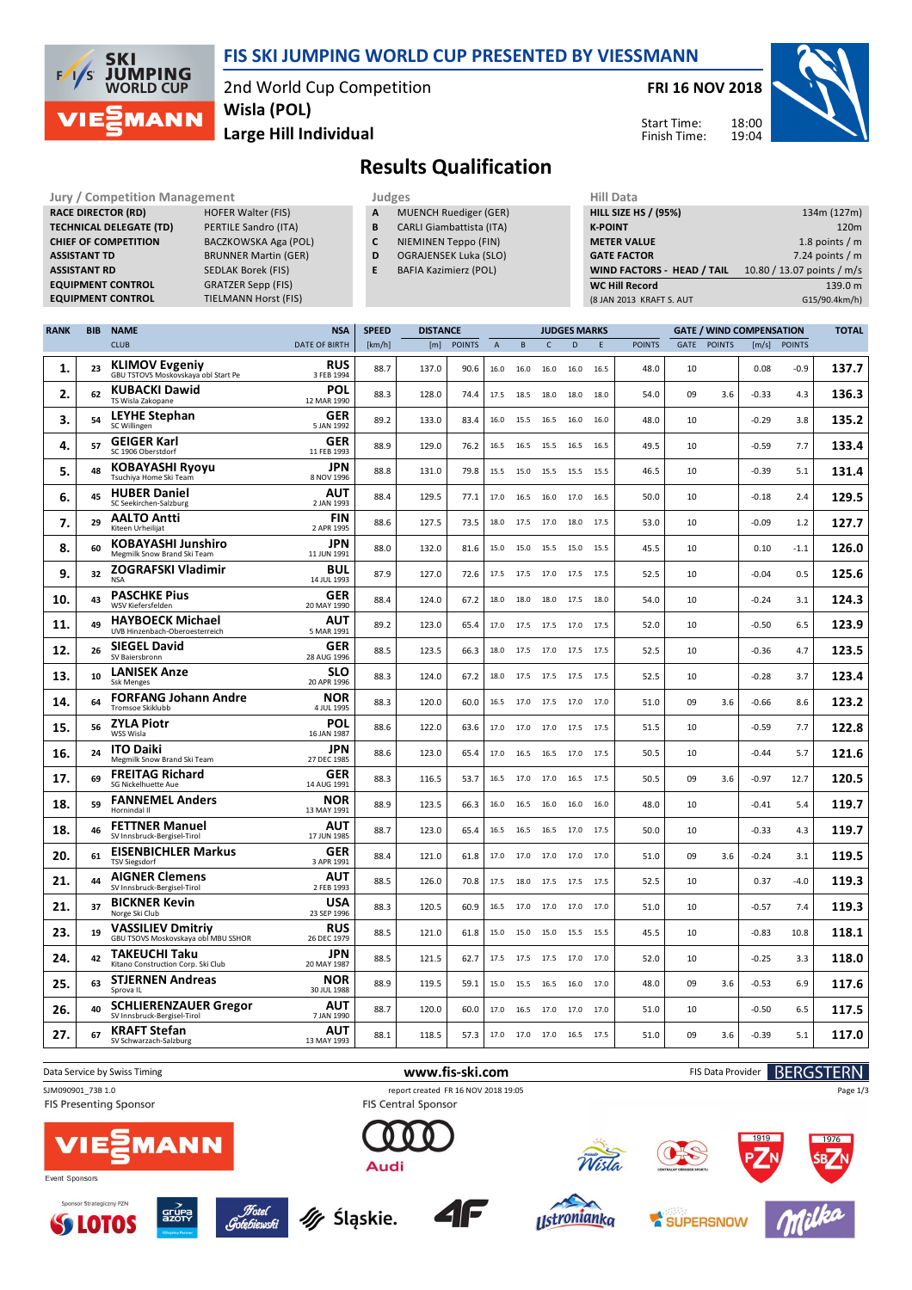

### **FIS SKI JUMPING WORLD CUP PRESENTED BY VIESSMANN**

2nd World Cup Competition **Large Hill Individual Wisla (POL)**

**FRI 16 NOV 2018**

Start Time: Finish Time:



### **Results Qualification**

Jury / Competition Management<br> **RACE DIRECTOR (RD)** HOFER Walter (FIS) **A** MUENCH Ruediger (GER) **HILL SIZE F HILL SIZE F RACE DIRECTOR (RD) TECHNICAL DELEGATE (TD)** PERTILE Sandro (ITA) **CHIEF OF COMPETITION** BACZKOWSKA Aga (POL) **ASSISTANT TD** BRUNNER Martin (GER) **ASSISTANT RD** SEDLAK Borek (FIS)<br>**EQUIPMENT CONTROL** GRATZER Sepp (FIS) **EQUIPMENT CONTROL**<br>**EQUIPMENT CONTROL** 

**TIELMANN Horst (FIS)** 

- **A** MUENCH Ruediger (GER)
- **B** CARLI Giambattista (ITA)
- **C** NIEMINEN Teppo (FIN)
- **D** OGRAJENSEK Luka (SLO)
- **E** BAFIA Kazimierz (POL)

| niil Data                         |                            |
|-----------------------------------|----------------------------|
| <b>HILL SIZE HS / (95%)</b>       | 134m (127m)                |
| <b>K-POINT</b>                    | 120 <sub>m</sub>           |
| <b>METER VALUE</b>                | 1.8 points $/m$            |
| <b>GATE FACTOR</b>                | 7.24 points $/m$           |
| <b>WIND FACTORS - HEAD / TAIL</b> | 10.80 / 13.07 points / m/s |
| <b>WC Hill Record</b>             | 139.0 m                    |
| (8 JAN 2013 KRAFT S. AUT          | G15/90.4km/h)              |
|                                   |                            |

| <b>RANK</b> | <b>BIB</b> | <b>NAME</b>                                                     | <b>NSA</b>                | <b>SPEED</b> | <b>DISTANCE</b> |               |                |                |                | <b>JUDGES MARKS</b> |      |               | <b>GATE / WIND COMPENSATION</b> |               |         | <b>TOTAL</b>  |       |
|-------------|------------|-----------------------------------------------------------------|---------------------------|--------------|-----------------|---------------|----------------|----------------|----------------|---------------------|------|---------------|---------------------------------|---------------|---------|---------------|-------|
|             |            | <b>CLUB</b>                                                     | <b>DATE OF BIRTH</b>      | [km/h]       | [m]             | <b>POINTS</b> | $\overline{A}$ | B              | $\mathsf{C}$   | D                   | E    | <b>POINTS</b> | GATE                            | <b>POINTS</b> | [m/s]   | <b>POINTS</b> |       |
| 1.          | 23         | <b>KLIMOV Evgeniy</b><br>GBU TSTOVS Moskovskaya obl Start Pe    | <b>RUS</b><br>3 FEB 1994  | 88.7         | 137.0           | 90.6          | 16.0           | 16.0           | 16.0           | 16.0                | 16.5 | 48.0          | 10                              |               | 0.08    | $-0.9$        | 137.7 |
| 2.          | 62         | <b>KUBACKI Dawid</b><br>TS Wisla Zakopane                       | POL<br>12 MAR 1990        | 88.3         | 128.0           | 74.4          | 17.5           | 18.5           | 18.0           | 18.0                | 18.0 | 54.0          | 09                              | 3.6           | -0.33   | 4.3           | 136.3 |
| 3.          | 54         | <b>LEYHE Stephan</b><br>SC Willingen                            | <b>GER</b><br>5 JAN 1992  | 89.2         | 133.0           | 83.4          | 16.0           | 15.5           | 16.5           | 16.0                | 16.0 | 48.0          | 10                              |               | $-0.29$ | 3.8           | 135.2 |
| 4.          | 57         | <b>GEIGER Karl</b><br>SC 1906 Oberstdorf                        | <b>GER</b><br>11 FEB 1993 | 88.9         | 129.0           | 76.2          | 16.5           | 16.5           | 15.5           | 16.5                | 16.5 | 49.5          | 10                              |               | $-0.59$ | 7.7           | 133.4 |
| 5.          | 48         | <b>KOBAYASHI Ryoyu</b><br>Tsuchiya Home Ski Team                | <b>JPN</b><br>8 NOV 1996  | 88.8         | 131.0           | 79.8          | 15.5           | 15.0           | 15.5           | 15.5                | 15.5 | 46.5          | 10                              |               | $-0.39$ | 5.1           | 131.4 |
| 6.          | 45         | <b>HUBER Daniel</b><br>SC Seekirchen-Salzburg                   | AUT<br>2 JAN 1993         | 88.4         | 129.5           | 77.1          | 17.0           | 16.5           | 16.0           | 17.0                | 16.5 | 50.0          | 10                              |               | $-0.18$ | 2.4           | 129.5 |
| 7.          | 29         | <b>AALTO Antti</b><br>Kiteen Urheilijat                         | FIN<br>2 APR 1995         | 88.6         | 127.5           | 73.5          | 18.0           | 17.5           | 17.0           | 18.0                | 17.5 | 53.0          | 10                              |               | $-0.09$ | 1.2           | 127.7 |
| 8.          | 60         | <b>KOBAYASHI Junshiro</b><br>Megmilk Snow Brand Ski Team        | <b>JPN</b><br>11 JUN 1991 | 88.0         | 132.0           | 81.6          | 15.0           | 15.0           | 15.5           | 15.0                | 15.5 | 45.5          | 10                              |               | 0.10    | $-1.1$        | 126.0 |
| 9.          | 32         | <b>ZOGRAFSKI Vladimir</b><br><b>NSA</b>                         | BUL<br>14 JUL 1993        | 87.9         | 127.0           | 72.6          | 17.5           | 17.5 17.0      |                | 17.5                | 17.5 | 52.5          | 10                              |               | $-0.04$ | 0.5           | 125.6 |
| 10.         | 43         | <b>PASCHKE Pius</b><br>WSV Kiefersfelden                        | <b>GER</b><br>20 MAY 1990 | 88.4         | 124.0           | 67.2          | 18.0           | 18.0           | 18.0           | 17.5                | 18.0 | 54.0          | 10                              |               | $-0.24$ | 3.1           | 124.3 |
| 11.         | 49         | <b>HAYBOECK Michael</b><br>UVB Hinzenbach-Oberoesterreich       | AUT<br>5 MAR 1991         | 89.2         | 123.0           | 65.4          | 17.0           | 17.5           | 17.5           | 17.0                | 17.5 | 52.0          | 10                              |               | $-0.50$ | 6.5           | 123.9 |
| 12.         | 26         | <b>SIEGEL David</b><br>SV Baiersbronn                           | <b>GER</b><br>28 AUG 1996 | 88.5         | 123.5           | 66.3          | 18.0           |                | 17.5 17.0 17.5 |                     | 17.5 | 52.5          | 10                              |               | $-0.36$ | 4.7           | 123.5 |
| 13.         | 10         | <b>LANISEK Anze</b><br><b>Ssk Menges</b>                        | <b>SLO</b><br>20 APR 1996 | 88.3         | 124.0           | 67.2          | 18.0           | 17.5           | 17.5           | 17.5                | 17.5 | 52.5          | 10                              |               | $-0.28$ | 3.7           | 123.4 |
| 14.         | 64         | <b>FORFANG Johann Andre</b><br>Tromsoe Skiklubb                 | NOR<br>4 JUL 1995         | 88.3         | 120.0           | 60.0          | 16.5           | 17.0           | 17.5           | 17.0                | 17.0 | 51.0          | 09                              | 3.6           | $-0.66$ | 8.6           | 123.2 |
| 15.         | 56         | <b>ZYLA Piotr</b><br>WSS Wisla                                  | POL<br>16 JAN 1987        | 88.6         | 122.0           | 63.6          | 17.0           | 17.0           | 17.0           | 17.5                | 17.5 | 51.5          | 10                              |               | $-0.59$ | 7.7           | 122.8 |
| 16.         | 24         | <b>ITO Daiki</b><br>Megmilk Snow Brand Ski Team                 | JPN<br>27 DEC 1985        | 88.6         | 123.0           | 65.4          | 17.0           | 16.5           | 16.5           | 17.0                | 17.5 | 50.5          | 10                              |               | $-0.44$ | 5.7           | 121.6 |
| 17.         | 69         | <b>FREITAG Richard</b><br>SG Nickelhuette Aue                   | GER<br>14 AUG 1991        | 88.3         | 116.5           | 53.7          | 16.5           | 17.0           | 17.0           | 16.5                | 17.5 | 50.5          | 09                              | 3.6           | $-0.97$ | 12.7          | 120.5 |
| 18.         | 59         | <b>FANNEMEL Anders</b><br>Hornindal II                          | <b>NOR</b><br>13 MAY 1991 | 88.9         | 123.5           | 66.3          | 16.0           | 16.5           | 16.0           | 16.0                | 16.0 | 48.0          | 10                              |               | $-0.41$ | 5.4           | 119.7 |
| 18.         | 46         | <b>FETTNER Manuel</b><br>SV Innsbruck-Bergisel-Tirol            | AUT<br>17 JUN 1985        | 88.7         | 123.0           | 65.4          | 16.5           | 16.5           | 16.5           | 17.0                | 17.5 | 50.0          | 10                              |               | $-0.33$ | 4.3           | 119.7 |
| 20.         | 61         | <b>EISENBICHLER Markus</b><br><b>TSV Siegsdorf</b>              | <b>GER</b><br>3 APR 1991  | 88.4         | 121.0           | 61.8          | 17.0           | 17.0           | 17.0           | 17.0                | 17.0 | 51.0          | 09                              | 3.6           | $-0.24$ | 3.1           | 119.5 |
| 21.         | 44         | <b>AIGNER Clemens</b><br>SV Innsbruck-Bergisel-Tirol            | AUT<br>2 FEB 1993         | 88.5         | 126.0           | 70.8          | 17.5           | 18.0           | 17.5           | 17.5                | 17.5 | 52.5          | 10                              |               | 0.37    | $-4.0$        | 119.3 |
| 21.         | 37         | <b>BICKNER Kevin</b><br>Norge Ski Club                          | <b>USA</b><br>23 SEP 1996 | 88.3         | 120.5           | 60.9          | 16.5           | 17.0           | 17.0           | 17.0                | 17.0 | 51.0          | 10                              |               | $-0.57$ | 7.4           | 119.3 |
| 23.         | 19         | <b>VASSILIEV Dmitriv</b><br>GBU TSOVS Moskovskaya obl MBU SSHOR | <b>RUS</b><br>26 DEC 1979 | 88.5         | 121.0           | 61.8          | 15.0           | 15.0 15.0      |                | 15.5                | 15.5 | 45.5          | 10                              |               | $-0.83$ | 10.8          | 118.1 |
| 24.         | 42         | TAKEUCHI Taku<br>Kitano Construction Corp. Ski Club             | <b>JPN</b><br>20 MAY 1987 | 88.5         | 121.5           | 62.7          | 17.5           | 17.5           | 17.5           | 17.0                | 17.0 | 52.0          | 10                              |               | $-0.25$ | 3.3           | 118.0 |
| 25.         | 63         | <b>STJERNEN Andreas</b><br>Sprova IL                            | NOR<br>30 JUL 1988        | 88.9         | 119.5           | 59.1          | 15.0           | 15.5           | 16.5           | 16.0                | 17.0 | 48.0          | 09                              | 3.6           | $-0.53$ | 6.9           | 117.6 |
| 26.         | 40         | <b>SCHLIERENZAUER Gregor</b><br>SV Innsbruck-Bergisel-Tirol     | AUT<br>7 JAN 1990         | 88.7         | 120.0           | 60.0          | 17.0           |                | 16.5 17.0      | 17.0                | 17.0 | 51.0          | 10                              |               | $-0.50$ | 6.5           | 117.5 |
| 27.         | 67         | <b>KRAFT Stefan</b><br>SV Schwarzach-Salzburg                   | AUT<br>13 MAY 1993        | 88.1         | 118.5           | 57.3          | 17.0           | 17.0 17.0 16.5 |                |                     | 17.5 | 51.0          | 09                              | 3.6           | $-0.39$ | 5.1           | 117.0 |

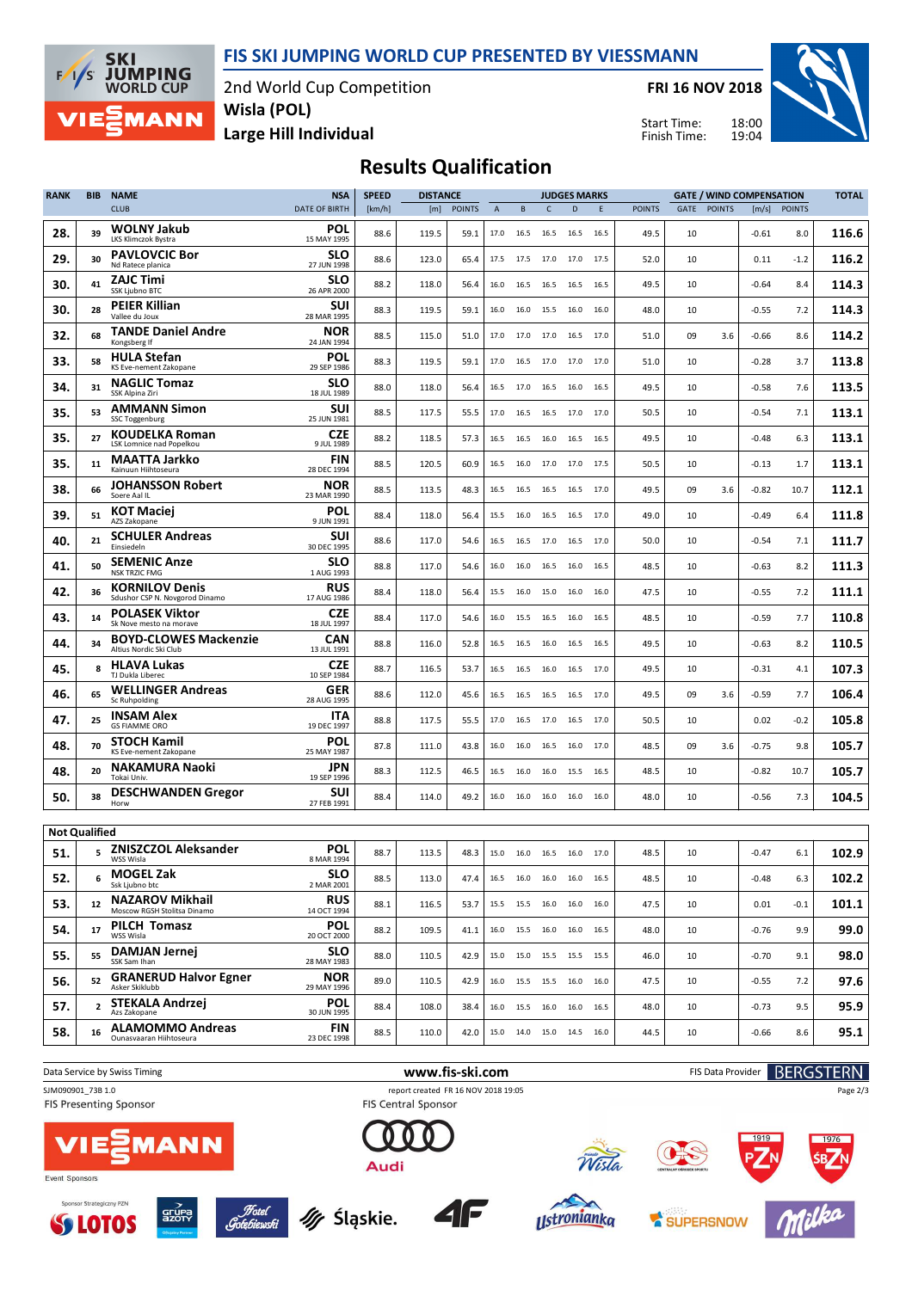**FIS SKI JUMPING WORLD CUP PRESENTED BY VIESSMANN**



2nd World Cup Competition **Wisla (POL)**

**FRI 16 NOV 2018**

Start Time: Finish Time:



**Large Hill Individual**

**Results Qualification**

| <b>RANK</b>          | <b>BIB</b>        | <b>NAME</b>                                             | <b>NSA</b>                | <b>SPEED</b> | <b>DISTANCE</b> |               |                |           |                | <b>JUDGES MARKS</b>                  |      | <b>GATE / WIND COMPENSATION</b> |      |               |         | <b>TOTAL</b> |       |
|----------------------|-------------------|---------------------------------------------------------|---------------------------|--------------|-----------------|---------------|----------------|-----------|----------------|--------------------------------------|------|---------------------------------|------|---------------|---------|--------------|-------|
|                      |                   | <b>CLUB</b>                                             | <b>DATE OF BIRTH</b>      | [km/h]       | [m]             | <b>POINTS</b> | $\overline{A}$ | $\sf{B}$  | $\mathsf{C}$   | D                                    | E    | <b>POINTS</b>                   | GATE | <b>POINTS</b> |         | [m/s] POINTS |       |
| 28.                  | 39                | <b>WOLNY Jakub</b><br>LKS Klimczok Bystra               | POL<br>15 MAY 1995        | 88.6         | 119.5           | 59.1          | 17.0           | 16.5      | 16.5           | 16.5                                 | 16.5 | 49.5                            | 10   |               | $-0.61$ | 8.0          | 116.6 |
| 29.                  | 30                | <b>PAVLOVCIC Bor</b><br>Nd Ratece planica               | <b>SLO</b><br>27 JUN 1998 | 88.6         | 123.0           | 65.4          | 17.5           | 17.5      | 17.0           | 17.0                                 | 17.5 | 52.0                            | 10   |               | 0.11    | $-1.2$       | 116.2 |
| 30.                  | 41                | <b>ZAJC Timi</b><br>SSK Ljubno BTC                      | <b>SLO</b><br>26 APR 2000 | 88.2         | 118.0           | 56.4          | 16.0           | 16.5      | 16.5           | 16.5                                 | 16.5 | 49.5                            | 10   |               | $-0.64$ | 8.4          | 114.3 |
| 30.                  | 28                | <b>PEIER Killian</b><br>Vallee du Joux                  | SUI<br>28 MAR 1995        | 88.3         | 119.5           | 59.1          | 16.0           | 16.0      | 15.5           | 16.0                                 | 16.0 | 48.0                            | 10   |               | $-0.55$ | 7.2          | 114.3 |
| 32.                  | 68                | <b>TANDE Daniel Andre</b><br>Kongsberg If               | <b>NOR</b><br>24 JAN 1994 | 88.5         | 115.0           | 51.0          | 17.0           | 17.0      | 17.0           | 16.5                                 | 17.0 | 51.0                            | 09   | 3.6           | $-0.66$ | 8.6          | 114.2 |
| 33.                  | 58                | <b>HULA Stefan</b><br>KS Eve-nement Zakopane            | POL<br>29 SEP 1986        | 88.3         | 119.5           | 59.1          | 17.0           | 16.5      | 17.0           | 17.0                                 | 17.0 | 51.0                            | 10   |               | $-0.28$ | 3.7          | 113.8 |
| 34.                  | 31                | <b>NAGLIC Tomaz</b><br>SSK Alpina Ziri                  | SLO<br>18 JUL 1989        | 88.0         | 118.0           | 56.4          | 16.5           | 17.0      | 16.5           | 16.0                                 | 16.5 | 49.5                            | 10   |               | $-0.58$ | 7.6          | 113.5 |
| 35.                  | 53                | <b>AMMANN Simon</b><br>SSC Toggenburg                   | SUI<br>25 JUN 1981        | 88.5         | 117.5           | 55.5          | 17.0           | 16.5      | 16.5           | 17.0                                 | 17.0 | 50.5                            | 10   |               | $-0.54$ | 7.1          | 113.1 |
| 35.                  | 27                | <b>KOUDELKA Roman</b><br>LSK Lomnice nad Popelkou       | <b>CZE</b><br>9 JUL 1989  | 88.2         | 118.5           | 57.3          | 16.5           |           | 16.5 16.0      | 16.5                                 | 16.5 | 49.5                            | 10   |               | $-0.48$ | 6.3          | 113.1 |
| 35.                  | 11                | <b>MAATTA Jarkko</b><br>Kainuun Hiihtoseura             | FIN<br>28 DEC 1994        | 88.5         | 120.5           | 60.9          | 16.5           | 16.0      | 17.0           | 17.0                                 | 17.5 | 50.5                            | 10   |               | $-0.13$ | 1.7          | 113.1 |
| 38.                  | 66                | <b>JOHANSSON Robert</b><br>Soere Aal IL                 | <b>NOR</b><br>23 MAR 1990 | 88.5         | 113.5           | 48.3          | 16.5           | 16.5      | 16.5           | 16.5                                 | 17.0 | 49.5                            | 09   | 3.6           | $-0.82$ | 10.7         | 112.1 |
| 39.                  | 51                | <b>KOT Maciei</b><br>AZS Zakopane                       | POL<br>9 JUN 1991         | 88.4         | 118.0           | 56.4          | 15.5           | 16.0      | 16.5           | 16.5                                 | 17.0 | 49.0                            | 10   |               | $-0.49$ | 6.4          | 111.8 |
| 40.                  | 21                | <b>SCHULER Andreas</b><br>Einsiedeln                    | SUI<br>30 DEC 1995        | 88.6         | 117.0           | 54.6          | 16.5           | 16.5      | 17.0           | 16.5                                 | 17.0 | 50.0                            | 10   |               | $-0.54$ | 7.1          | 111.7 |
| 41.                  | 50                | <b>SEMENIC Anze</b><br><b>NSK TRZIC FMG</b>             | <b>SLO</b><br>1 AUG 1993  | 88.8         | 117.0           | 54.6          | 16.0           | 16.0      | 16.5           | 16.0                                 | 16.5 | 48.5                            | 10   |               | $-0.63$ | 8.2          | 111.3 |
| 42.                  | 36                | <b>KORNILOV Denis</b><br>Sdushor CSP N. Novgorod Dinamo | <b>RUS</b><br>17 AUG 1986 | 88.4         | 118.0           | 56.4          | 15.5           | 16.0      | 15.0           | 16.0                                 | 16.0 | 47.5                            | 10   |               | $-0.55$ | 7.2          | 111.1 |
| 43.                  | 14                | <b>POLASEK Viktor</b><br>Sk Nove mesto na morave        | <b>CZE</b><br>18 JUL 1997 | 88.4         | 117.0           | 54.6          | 16.0           | 15.5 16.5 |                | 16.0                                 | 16.5 | 48.5                            | 10   |               | $-0.59$ | 7.7          | 110.8 |
| 44.                  | 34                | <b>BOYD-CLOWES Mackenzie</b><br>Altius Nordic Ski Club  | CAN<br>13 JUL 1991        | 88.8         | 116.0           | 52.8          | 16.5           | 16.5      | 16.0           | 16.5                                 | 16.5 | 49.5                            | 10   |               | $-0.63$ | 8.2          | 110.5 |
| 45.                  | 8                 | <b>HLAVA Lukas</b><br>TJ Dukla Liberec                  | <b>CZE</b><br>10 SEP 1984 | 88.7         | 116.5           | 53.7          | 16.5           | 16.5      | 16.0           | 16.5                                 | 17.0 | 49.5                            | 10   |               | $-0.31$ | 4.1          | 107.3 |
| 46.                  | 65                | <b>WELLINGER Andreas</b><br><b>Sc Ruhpolding</b>        | <b>GER</b><br>28 AUG 1995 | 88.6         | 112.0           | 45.6          | 16.5           | 16.5      | 16.5           | 16.5                                 | 17.0 | 49.5                            | 09   | 3.6           | -0.59   | 7.7          | 106.4 |
| 47.                  | 25                | <b>INSAM Alex</b><br><b>GS FIAMME ORO</b>               | ITA<br>19 DEC 1997        | 88.8         | 117.5           | 55.5          | 17.0           | 16.5      | 17.0           | 16.5                                 | 17.0 | 50.5                            | 10   |               | 0.02    | $-0.2$       | 105.8 |
| 48.                  | 70                | <b>STOCH Kamil</b><br>KS Eve-nement Zakopane            | POL<br>25 MAY 1987        | 87.8         | 111.0           | 43.8          | 16.0           | 16.0      | 16.5           | 16.0                                 | 17.0 | 48.5                            | 09   | 3.6           | $-0.75$ | 9.8          | 105.7 |
| 48.                  | 20                | <b>NAKAMURA Naoki</b><br>Tokai Univ.                    | <b>JPN</b><br>19 SEP 1996 | 88.3         | 112.5           | 46.5          | 16.5           | 16.0      | 16.0           | 15.5                                 | 16.5 | 48.5                            | 10   |               | $-0.82$ | 10.7         | 105.7 |
| 50.                  | 38                | <b>DESCHWANDEN Gregor</b><br>Horw                       | SUI<br>27 FEB 1991        | 88.4         | 114.0           | 49.2          | 16.0           |           | 16.0 16.0 16.0 |                                      | 16.0 | 48.0                            | 10   |               | $-0.56$ | 7.3          | 104.5 |
| <b>Not Qualified</b> |                   |                                                         |                           |              |                 |               |                |           |                |                                      |      |                                 |      |               |         |              |       |
| 51.                  | 5                 | <b>ZNISZCZOL Aleksander</b><br>WSS Wisla                | POL<br>8 MAR 1994         | 88.7         | 113.5           | 48.3          | 15.0           | 16.0      | 16.5           | 16.0                                 | 17.0 | 48.5                            | 10   |               | $-0.47$ | 6.1          | 102.9 |
| 52.                  | 6                 | <b>MOGEL Zak</b><br>Ssk Ljubno btc                      | <b>SLO</b><br>2 MAR 2001  | 88.5         | 113.0           | 47.4          |                |           |                | 16.5 16.0 16.0 16.0 16.5             |      | 48.5                            | 10   |               | $-0.48$ | 6.3          | 102.2 |
| 53.                  | $12 \overline{ }$ | <b>NAZAROV Mikhail</b><br>Moscow RGSH Stolitsa Dinamo   | <b>RUS</b><br>14 OCT 1994 | 88.1         | 116.5           | 53.7          |                |           |                | 15.5 15.5 16.0 16.0 16.0             |      | 47.5                            | 10   |               | 0.01    | $-0.1$       | 101.1 |
| 54.                  | 17                | PILCH Tomasz<br>WSS Wisla                               | <b>POL</b><br>20 OCT 2000 | 88.2         | 109.5           | 41.1          |                |           |                | 16.0  15.5  16.0  16.0  16.5         |      | 48.0                            | 10   |               | $-0.76$ | 9.9          | 99.0  |
| 55.                  | 55                | <b>DAMJAN Jernej</b><br>SSK Sam Ihan                    | <b>SLO</b><br>28 MAY 1983 | 88.0         | 110.5           | 42.9          |                |           |                | 15.0    15.0    15.5    15.5    15.5 |      | 46.0                            | 10   |               | $-0.70$ | 9.1          | 98.0  |
| 56.                  | 52                | <b>GRANERUD Halvor Egner</b><br>Asker Skiklubb          | <b>NOR</b><br>29 MAY 1996 | 89.0         | 110.5           | 42.9          |                |           |                | 16.0 15.5 15.5 16.0 16.0             |      | 47.5                            | 10   |               | $-0.55$ | 7.2          | 97.6  |
| 57.                  | $\overline{2}$    | <b>STEKALA Andrzej</b><br>Azs Zakopane                  | <b>POL</b><br>30 JUN 1995 | 88.4         | 108.0           | 38.4          |                |           |                | 16.0  15.5  16.0  16.0  16.5         |      | 48.0                            | 10   |               | $-0.73$ | 9.5          | 95.9  |
| 58.                  | 16                | <b>ALAMOMMO Andreas</b><br>Ounasvaaran Hiihtoseura      | <b>FIN</b><br>23 DEC 1998 | 88.5         | 110.0           | 42.0          |                |           |                | 15.0  14.0  15.0  14.5  16.0         |      | 44.5                            | 10   |               | $-0.66$ | 8.6          | 95.1  |
|                      |                   |                                                         |                           |              |                 |               |                |           |                |                                      |      |                                 |      |               |         |              |       |



**SS LOTOS** 



My Śląskie.



SUPERSNOW